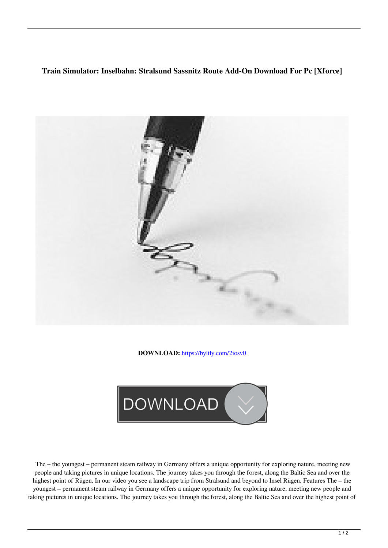## **Train Simulator: Inselbahn: Stralsund Sassnitz Route Add-On Download For Pc [Xforce]**



**DOWNLOAD:** <https://byltly.com/2iosv0>



 The – the youngest – permanent steam railway in Germany offers a unique opportunity for exploring nature, meeting new people and taking pictures in unique locations. The journey takes you through the forest, along the Baltic Sea and over the highest point of Rügen. In our video you see a landscape trip from Stralsund and beyond to Insel Rügen. Features The – the youngest – permanent steam railway in Germany offers a unique opportunity for exploring nature, meeting new people and taking pictures in unique locations. The journey takes you through the forest, along the Baltic Sea and over the highest point of